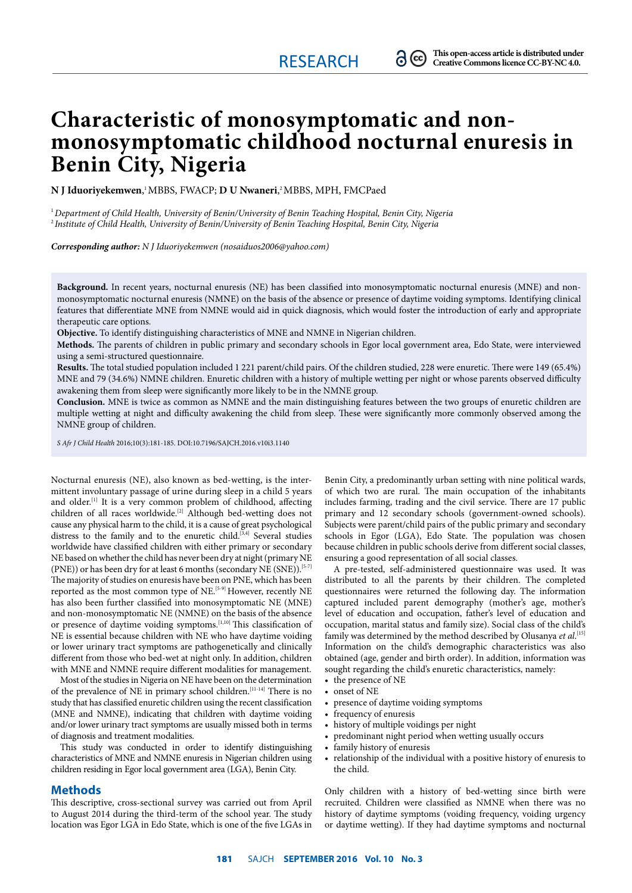# **Characteristic of monosymptomatic and nonmonosymptomatic childhood nocturnal enuresis in Benin City, Nigeria**

**N J Iduoriyekemwen**, 1 MBBS, FWACP; **D U Nwaneri**, 2 MBBS, MPH, FMCPaed

1 *Department of Child Health, University of Benin/University of Benin Teaching Hospital, Benin City, Nigeria*  2 *Institute of Child Health, University of Benin/University of Benin Teaching Hospital, Benin City, Nigeria*

*Corresponding author: N J Iduoriyekemwen (nosaiduos2006@yahoo.com)*

**Background.** In recent years, nocturnal enuresis (NE) has been classified into monosymptomatic nocturnal enuresis (MNE) and nonmonosymptomatic nocturnal enuresis (NMNE) on the basis of the absence or presence of daytime voiding symptoms. Identifying clinical features that differentiate MNE from NMNE would aid in quick diagnosis, which would foster the introduction of early and appropriate therapeutic care options.

**Objective.** To identify distinguishing characteristics of MNE and NMNE in Nigerian children.

**Methods.** The parents of children in public primary and secondary schools in Egor local government area, Edo State, were interviewed using a semi-structured questionnaire.

Results. The total studied population included 1 221 parent/child pairs. Of the children studied, 228 were enuretic. There were 149 (65.4%) MNE and 79 (34.6%) NMNE children. Enuretic children with a history of multiple wetting per night or whose parents observed difficulty awakening them from sleep were significantly more likely to be in the NMNE group.

**Conclusion.** MNE is twice as common as NMNE and the main distinguishing features between the two groups of enuretic children are multiple wetting at night and difficulty awakening the child from sleep. These were significantly more commonly observed among the NMNE group of children.

*S Afr J Child Health* 2016;10(3):181-185. DOI:10.7196/SAJCH.2016.v10i3.1140

Nocturnal enuresis (NE), also known as bed-wetting, is the intermittent involuntary passage of urine during sleep in a child 5 years and older. $[1]$  It is a very common problem of childhood, affecting children of all races worldwide.<sup>[2]</sup> Although bed-wetting does not cause any physical harm to the child, it is a cause of great psychological distress to the family and to the enuretic child.<sup>[3,4]</sup> Several studies worldwide have classified children with either primary or secondary NE based on whether the child has never been dry at night (primary NE (PNE)) or has been dry for at least 6 months (secondary NE (SNE)).<sup>[5-7]</sup> The majority of studies on enuresis have been on PNE, which has been reported as the most common type of NE.<sup>[5-9]</sup> However, recently NE has also been further classified into monosymptomatic NE (MNE) and non-monosymptomatic NE (NMNE) on the basis of the absence or presence of daytime voiding symptoms.[1,10] This classification of NE is essential because children with NE who have daytime voiding or lower urinary tract symptoms are pathogenetically and clinically different from those who bed-wet at night only. In addition, children with MNE and NMNE require different modalities for management.

Most of the studies in Nigeria on NE have been on the determination of the prevalence of NE in primary school children.<sup>[11-14]</sup> There is no study that has classified enuretic children using the recent classification (MNE and NMNE), indicating that children with daytime voiding and/or lower urinary tract symptoms are usually missed both in terms of diagnosis and treatment modalities.

This study was conducted in order to identify distinguishing characteristics of MNE and NMNE enuresis in Nigerian children using children residing in Egor local government area (LGA), Benin City.

#### **Methods**

This descriptive, cross-sectional survey was carried out from April to August 2014 during the third-term of the school year. The study location was Egor LGA in Edo State, which is one of the five LGAs in Benin City, a predominantly urban setting with nine political wards, of which two are rural. The main occupation of the inhabitants includes farming, trading and the civil service. There are 17 public primary and 12 secondary schools (government-owned schools). Subjects were parent/child pairs of the public primary and secondary schools in Egor (LGA), Edo State. The population was chosen because children in public schools derive from different social classes, ensuring a good representation of all social classes.

A pre-tested, self-administered questionnaire was used. It was distributed to all the parents by their children. The completed questionnaires were returned the following day. The information captured included parent demography (mother's age, mother's level of education and occupation, father's level of education and occupation, marital status and family size). Social class of the child's family was determined by the method described by Olusanya *et al*. [15] Information on the child's demographic characteristics was also obtained (age, gender and birth order). In addition, information was sought regarding the child's enuretic characteristics, namely:

- the presence of NE
- onset of NE
- presence of daytime voiding symptoms
- frequency of enuresis
- history of multiple voidings per night
- predominant night period when wetting usually occurs
- family history of enuresis
- relationship of the individual with a positive history of enuresis to the child.

Only children with a history of bed-wetting since birth were recruited. Children were classified as NMNE when there was no history of daytime symptoms (voiding frequency, voiding urgency or daytime wetting). If they had daytime symptoms and nocturnal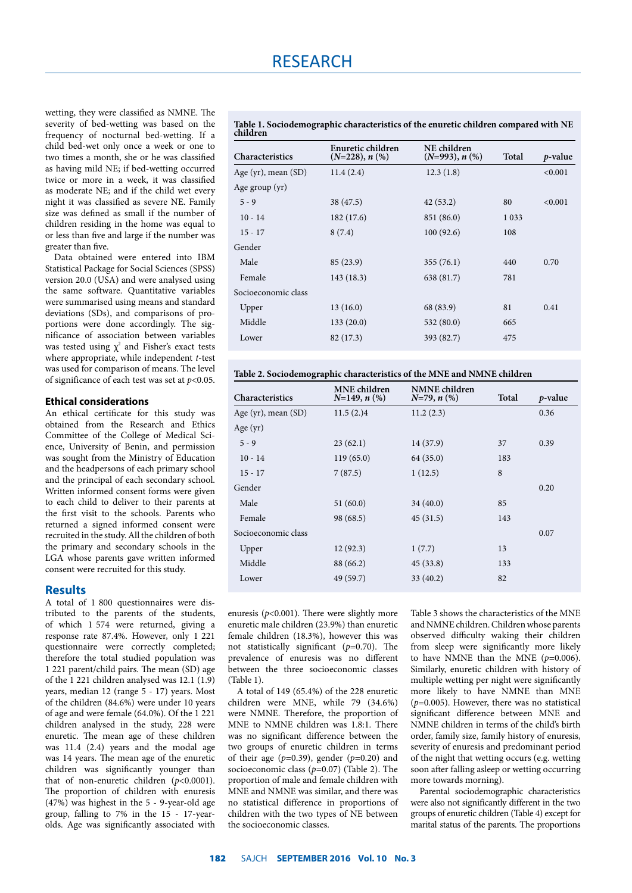wetting, they were classified as NMNE. The severity of bed-wetting was based on the frequency of nocturnal bed-wetting. If a child bed-wet only once a week or one to two times a month, she or he was classified as having mild NE; if bed-wetting occurred twice or more in a week, it was classified as moderate NE; and if the child wet every night it was classified as severe NE. Family size was defined as small if the number of children residing in the home was equal to or less than five and large if the number was greater than five.

Data obtained were entered into IBM Statistical Package for Social Sciences (SPSS) version 20.0 (USA) and were analysed using the same software. Quantitative variables were summarised using means and standard deviations (SDs), and comparisons of proportions were done accordingly. The significance of association between variables was tested using  $\chi^2$  and Fisher's exact tests where appropriate, while independent *t*-test was used for comparison of means. The level of significance of each test was set at *p*<0.05.

#### **Ethical considerations**

An ethical certificate for this study was obtained from the Research and Ethics Committee of the College of Medical Science, University of Benin, and permission was sought from the Ministry of Education and the headpersons of each primary school and the principal of each secondary school. Written informed consent forms were given to each child to deliver to their parents at the first visit to the schools. Parents who returned a signed informed consent were recruited in the study. All the children of both the primary and secondary schools in the LGA whose parents gave written informed consent were recruited for this study.

#### **Results**

A total of 1 800 questionnaires were distributed to the parents of the students, of which 1 574 were returned, giving a response rate 87.4%. However, only 1 221 questionnaire were correctly completed; therefore the total studied population was 1 221 parent/child pairs. The mean (SD) age of the 1 221 children analysed was 12.1 (1.9) years, median 12 (range 5 - 17) years. Most of the children (84.6%) were under 10 years of age and were female (64.0%). Of the 1 221 children analysed in the study, 228 were enuretic. The mean age of these children was 11.4 (2.4) years and the modal age was 14 years. The mean age of the enuretic children was significantly younger than that of non-enuretic children (*p*<0.0001). The proportion of children with enuresis (47%) was highest in the 5 - 9-year-old age group, falling to 7% in the 15 - 17-yearolds. Age was significantly associated with

**Table 1. Sociodemographic characteristics of the enuretic children compared with NE children**

| Characteristics          | Enuretic children<br>$(N=228), n$ (%) | NE children<br>$(N=993), n$ (%) | Total   | $p$ -value |
|--------------------------|---------------------------------------|---------------------------------|---------|------------|
| Age $(yr)$ , mean $(SD)$ | 11.4(2.4)                             | 12.3(1.8)                       |         | < 0.001    |
| Age group $(yr)$         |                                       |                                 |         |            |
| $5 - 9$                  | 38 (47.5)                             | 42(53.2)                        | 80      | < 0.001    |
| $10 - 14$                | 182 (17.6)                            | 851 (86.0)                      | 1 0 3 3 |            |
| $15 - 17$                | 8(7.4)                                | 100(92.6)                       | 108     |            |
| Gender                   |                                       |                                 |         |            |
| Male                     | 85 (23.9)                             | 355(76.1)                       | 440     | 0.70       |
| Female                   | 143 (18.3)                            | 638 (81.7)                      | 781     |            |
| Socioeconomic class      |                                       |                                 |         |            |
| Upper                    | 13(16.0)                              | 68 (83.9)                       | 81      | 0.41       |
| Middle                   | 133(20.0)                             | 532 (80.0)                      | 665     |            |
| Lower                    | 82 (17.3)                             | 393 (82.7)                      | 475     |            |

| <b>Characteristics</b>   | <b>MNE</b> children<br>$N=149, n$ (%) | <b>NMNE</b> children<br>$N=79, n$ (%) | Total | $p$ -value |
|--------------------------|---------------------------------------|---------------------------------------|-------|------------|
| Age $(yr)$ , mean $(SD)$ | 11.5(2.)4                             | 11.2(2.3)                             |       | 0.36       |
| Age $(yr)$               |                                       |                                       |       |            |
| $5 - 9$                  | 23(62.1)                              | 14 (37.9)                             | 37    | 0.39       |
| $10 - 14$                | 119(65.0)                             | 64 (35.0)                             | 183   |            |
| $15 - 17$                | 7(87.5)                               | 1(12.5)                               | 8     |            |
| Gender                   |                                       |                                       |       | 0.20       |
| Male                     | 51(60.0)                              | 34(40.0)                              | 85    |            |
| Female                   | 98 (68.5)                             | 45(31.5)                              | 143   |            |
| Socioeconomic class      |                                       |                                       |       | 0.07       |
| Upper                    | 12 (92.3)                             | 1(7.7)                                | 13    |            |
| Middle                   | 88 (66.2)                             | 45(33.8)                              | 133   |            |
| Lower                    | 49 (59.7)                             | 33(40.2)                              | 82    |            |

enuresis ( $p<0.001$ ). There were slightly more enuretic male children (23.9%) than enuretic female children (18.3%), however this was not statistically significant (*p*=0.70). The prevalence of enuresis was no different between the three socioeconomic classes  $(Table 1)$ 

A total of 149 (65.4%) of the 228 enuretic children were MNE, while 79 (34.6%) were NMNE. Therefore, the proportion of MNE to NMNE children was 1.8:1. There was no significant difference between the two groups of enuretic children in terms of their age (*p*=0.39), gender (*p*=0.20) and socioeconomic class (*p*=0.07) (Table 2). The proportion of male and female children with MNE and NMNE was similar, and there was no statistical difference in proportions of children with the two types of NE between the socioeconomic classes.

Table 3 shows the characteristics of the MNE and NMNE children. Children whose parents observed difficulty waking their children from sleep were significantly more likely to have NMNE than the MNE  $(p=0.006)$ . Similarly, enuretic children with history of multiple wetting per night were significantly more likely to have NMNE than MNE (*p*=0.005). However, there was no statistical significant difference between MNE and NMNE children in terms of the child's birth order, family size, family history of enuresis, severity of enuresis and predominant period of the night that wetting occurs (e.g. wetting soon after falling asleep or wetting occurring more towards morning).

Parental sociodemographic characteristics were also not significantly different in the two groups of enuretic children (Table 4) except for marital status of the parents. The proportions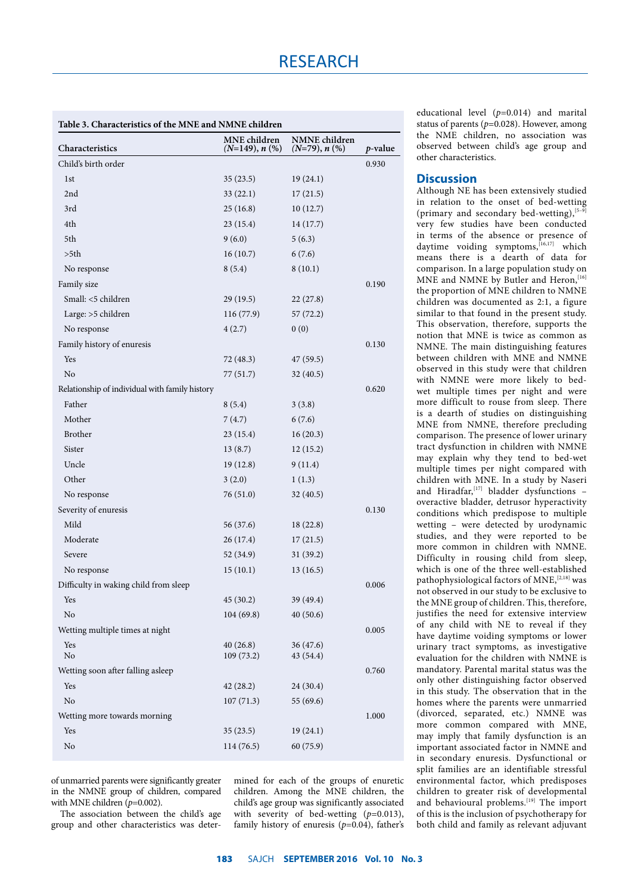| Table 3. Characteristics of the MNE and NMNE children |                                  |                                  |            |
|-------------------------------------------------------|----------------------------------|----------------------------------|------------|
| Characteristics                                       | MNE children<br>$(N=149), n$ (%) | NMNE children<br>$(N=79), n$ (%) | $p$ -value |
| Child's birth order                                   |                                  |                                  | 0.930      |
| 1st                                                   | 35(23.5)                         | 19(24.1)                         |            |
| 2nd                                                   | 33(22.1)                         | 17(21.5)                         |            |
| 3rd                                                   | 25(16.8)                         | 10(12.7)                         |            |
| 4th                                                   | 23(15.4)                         | 14(17.7)                         |            |
| 5th                                                   | 9(6.0)                           | 5(6.3)                           |            |
| >5th                                                  | 16(10.7)                         | 6(7.6)                           |            |
| No response                                           | 8(5.4)                           | 8(10.1)                          |            |
| Family size                                           |                                  |                                  | 0.190      |
| Small: <5 children                                    | 29(19.5)                         | 22 (27.8)                        |            |
| Large: >5 children                                    | 116(77.9)                        | 57(72.2)                         |            |
| No response                                           | 4(2.7)                           | 0(0)                             |            |
| Family history of enuresis                            |                                  |                                  | 0.130      |
| Yes                                                   | 72 (48.3)                        | 47 (59.5)                        |            |
| N <sub>o</sub>                                        | 77(51.7)                         | 32(40.5)                         |            |
| Relationship of individual with family history        |                                  |                                  | 0.620      |
| Father                                                | 8(5.4)                           | 3(3.8)                           |            |
| Mother                                                | 7(4.7)                           | 6(7.6)                           |            |
| Brother                                               | 23(15.4)                         | 16(20.3)                         |            |
| Sister                                                | 13(8.7)                          | 12(15.2)                         |            |
| Uncle                                                 | 19(12.8)                         | 9(11.4)                          |            |
| Other                                                 | 3(2.0)                           | 1(1.3)                           |            |
| No response                                           | 76 (51.0)                        | 32(40.5)                         |            |
| Severity of enuresis                                  |                                  |                                  | 0.130      |
| Mild                                                  | 56 (37.6)                        | 18(22.8)                         |            |
| Moderate                                              | 26 (17.4)                        | 17(21.5)                         |            |
| Severe                                                | 52 (34.9)                        | 31(39.2)                         |            |
| No response                                           | 15(10.1)                         | 13(16.5)                         |            |
| Difficulty in waking child from sleep                 |                                  |                                  | 0.006      |
| Yes                                                   | 45(30.2)                         | 39 (49.4)                        |            |
| $\rm No$                                              | 104 (69.8)                       | 40(50.6)                         |            |
| Wetting multiple times at night                       |                                  |                                  | 0.005      |
| Yes                                                   | 40(26.8)                         | 36(47.6)                         |            |
| No                                                    | 109 (73.2)                       | 43 (54.4)                        |            |
| Wetting soon after falling asleep                     |                                  |                                  | 0.760      |
| Yes                                                   | 42(28.2)                         | 24 (30.4)                        |            |
| $\rm No$                                              | 107(71.3)                        | 55 (69.6)                        |            |
| Wetting more towards morning                          |                                  |                                  | 1.000      |
| Yes                                                   | 35(23.5)                         | 19(24.1)                         |            |
| No                                                    | 114(76.5)                        | 60 (75.9)                        |            |
|                                                       |                                  |                                  |            |

of unmarried parents were significantly greater in the NMNE group of children, compared with MNE children ( $p=0.002$ ).

The association between the child's age group and other characteristics was determined for each of the groups of enuretic children. Among the MNE children, the child's age group was significantly associated with severity of bed-wetting  $(p=0.013)$ , family history of enuresis (*p*=0.04), father's educational level (*p*=0.014) and marital status of parents (*p*=0.028). However, among the NME children, no association was observed between child's age group and other characteristics.

## **Discussion**

Although NE has been extensively studied in relation to the onset of bed-wetting (primary and secondary bed-wetting),  $[5-9]$ very few studies have been conducted in terms of the absence or presence of daytime voiding symptoms,[16,17] which means there is a dearth of data for comparison. In a large population study on MNE and NMNE by Butler and Heron, [16] the proportion of MNE children to NMNE children was documented as 2:1, a figure similar to that found in the present study. This observation, therefore, supports the notion that MNE is twice as common as NMNE. The main distinguishing features between children with MNE and NMNE observed in this study were that children with NMNE were more likely to bedwet multiple times per night and were more difficult to rouse from sleep. There is a dearth of studies on distinguishing MNE from NMNE, therefore precluding comparison. The presence of lower urinary tract dysfunction in children with NMNE may explain why they tend to bed-wet multiple times per night compared with children with MNE. In a study by Naseri and Hiradfar,  $[17]$  bladder dysfunctions overactive bladder, detrusor hyperactivity conditions which predispose to multiple wetting – were detected by urodynamic studies, and they were reported to be more common in children with NMNE. Difficulty in rousing child from sleep, which is one of the three well-established pathophysiological factors of MNE,<sup>[2,18]</sup> was not observed in our study to be exclusive to the MNE group of children. This, therefore, justifies the need for extensive interview of any child with NE to reveal if they have daytime voiding symptoms or lower urinary tract symptoms, as investigative evaluation for the children with NMNE is mandatory. Parental marital status was the only other distinguishing factor observed in this study. The observation that in the homes where the parents were unmarried (divorced, separated, etc.) NMNE was more common compared with MNE, may imply that family dysfunction is an important associated factor in NMNE and in secondary enuresis. Dysfunctional or split families are an identifiable stressful environmental factor, which predisposes children to greater risk of developmental and behavioural problems.<sup>[19]</sup> The import of this is the inclusion of psychotherapy for both child and family as relevant adjuvant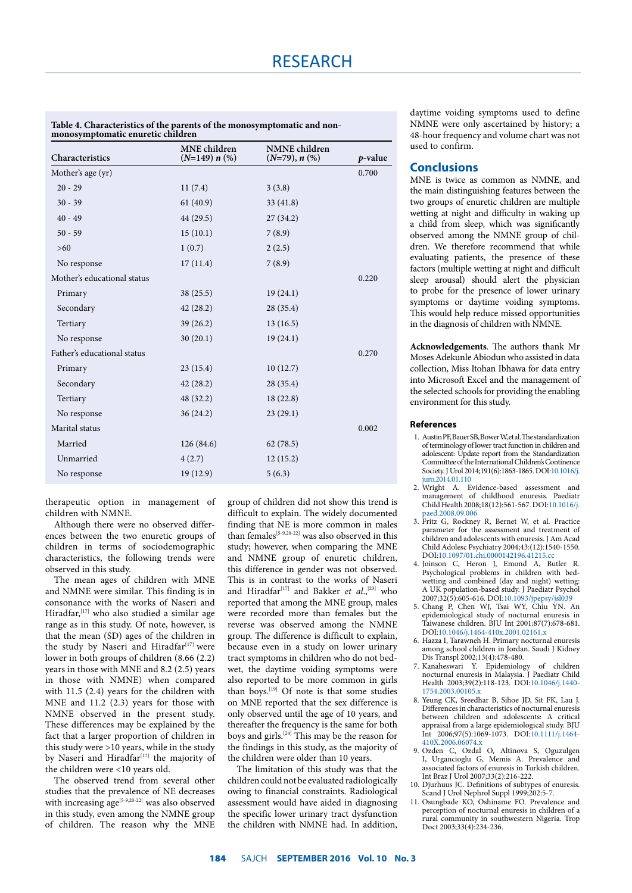| Characteristics             | <b>MNE</b> children<br>$(N=149) n$ (%) | <b>NMNE</b> children<br>$(N=79), n$ (%) | $p$ -value |
|-----------------------------|----------------------------------------|-----------------------------------------|------------|
| Mother's age (yr)           |                                        |                                         | 0.700      |
| $20 - 29$                   | 11(7.4)                                | 3(3.8)                                  |            |
| $30 - 39$                   | 61(40.9)                               | 33(41.8)                                |            |
| $40 - 49$                   | 44 (29.5)                              | 27(34.2)                                |            |
| $50 - 59$                   | 15(10.1)                               | 7(8.9)                                  |            |
| $>60$                       | 1(0.7)                                 | 2(2.5)                                  |            |
| No response                 | 17(11.4)                               | 7(8.9)                                  |            |
| Mother's educational status |                                        |                                         | 0.220      |
| Primary                     | 38(25.5)                               | 19(24.1)                                |            |
| Secondary                   | 42(28.2)                               | 28 (35.4)                               |            |
| Tertiary                    | 39(26.2)                               | 13(16.5)                                |            |
| No response                 | 30(20.1)                               | 19(24.1)                                |            |
| Father's educational status |                                        |                                         | 0.270      |
| Primary                     | 23(15.4)                               | 10(12.7)                                |            |
| Secondary                   | 42(28.2)                               | 28 (35.4)                               |            |
| Tertiary                    | 48 (32.2)                              | 18(22.8)                                |            |
| No response                 | 36(24.2)                               | 23(29.1)                                |            |
| Marital status              |                                        |                                         | 0.002      |
| Married                     | 126(84.6)                              | 62(78.5)                                |            |
| Unmarried                   | 4(2.7)                                 | 12(15.2)                                |            |
| No response                 | 19(12.9)                               | 5(6.3)                                  |            |
|                             |                                        |                                         |            |

**Table 4. Characteristics of the parents of the monosymptomatic and nonmonosymptomatic enuretic children**

therapeutic option in management of children with NMNE.

Although there were no observed differences between the two enuretic groups of children in terms of sociodemographic characteristics, the following trends were observed in this study.

The mean ages of children with MNE and NMNE were similar. This finding is in consonance with the works of Naseri and Hiradfar, <a>[17]</a> who also studied a similar age range as in this study. Of note, however, is that the mean (SD) ages of the children in the study by Naseri and Hiradfar $[17]$  were lower in both groups of children (8.66 (2.2) years in those with MNE and 8.2 (2.5) years in those with NMNE) when compared with 11.5 (2.4) years for the children with MNE and 11.2 (2.3) years for those with NMNE observed in the present study. These differences may be explained by the fact that a larger proportion of children in this study were  $>10$  years, while in the study by Naseri and Hiradfar<sup>[17]</sup> the majority of the children were <10 years old.

The observed trend from several other studies that the prevalence of NE decreases with increasing  $age^{[5-9,20-22]}$  was also observed in this study, even among the NMNE group of children. The reason why the MNE group of children did not show this trend is difficult to explain. The widely documented finding that NE is more common in males than females<sup>[5-9,20-22]</sup> was also observed in this study; however, when comparing the MNE and NMNE group of enuretic children, this difference in gender was not observed. This is in contrast to the works of Naseri and Hiradfar<sup>[17]</sup> and Bakker *et al.*,<sup>[23]</sup> who reported that among the MNE group, males were recorded more than females but the reverse was observed among the NMNE group. The difference is difficult to explain, because even in a study on lower urinary tract symptoms in children who do not bedwet, the daytime voiding symptoms were also reported to be more common in girls than boys.<sup>[19]</sup> Of note is that some studies on MNE reported that the sex difference is only observed until the age of 10 years, and thereafter the frequency is the same for both boys and girls.<sup>[24]</sup> This may be the reason for the findings in this study, as the majority of the children were older than 10 years.

The limitation of this study was that the children could not be evaluated radiologically owing to financial constraints. Radiological assessment would have aided in diagnosing the specific lower urinary tract dysfunction the children with NMNE had. In addition, daytime voiding symptoms used to define NMNE were only ascertained by history; a 48-hour frequency and volume chart was not used to confirm.

### **Conclusions**

MNE is twice as common as NMNE, and the main distinguishing features between the two groups of enuretic children are multiple wetting at night and difficulty in waking up a child from sleep, which was significantly observed among the NMNE group of children. We therefore recommend that while evaluating patients, the presence of these factors (multiple wetting at night and difficult sleep arousal) should alert the physician to probe for the presence of lower urinary symptoms or daytime voiding symptoms. This would help reduce missed opportunities in the diagnosis of children with NMNE.

**Acknowledgements**. The authors thank Mr Moses Adekunle Abiodun who assisted in data collection, Miss Itohan Ibhawa for data entry into Microsoft Excel and the management of the selected schools for providing the enabling environment for this study.

#### **References**

- 1. Austin PF, Bauer SB, Bower W, et al. The standardization of terminology of lower tract function in children and adolescent: Update report from the Standardization Committee of the International Children's Continence Society. J Urol 2014;191(6):1863-1865. DOI[:10.1016/j.](http://dx.doi.org/10.1016/j.juro.2014.01.110 ) [juro.2014.01.110](http://dx.doi.org/10.1016/j.juro.2014.01.110 )
- 2. Wright A. Evidence-based assessment and management of childhood enuresis. Paediatr Child Health 2008;18(12):561-567. DOI[:10.1016/j.](http://dx.doi.org/10.1016/j.paed.2008.09.006  ) [paed.2008.09.006](http://dx.doi.org/10.1016/j.paed.2008.09.006  )
- 3. Fritz G, Rockney R, Bernet W, et al. Practice parameter for the assessment and treatment of children and adolescents with enuresis. J Am Acad Child Adolesc Psychiatry 2004;43:(12):1540-1550. DOI[:10.1097/01.chi.0000142196.41215.cc](http://dx.doi.org/10.1097/01.chi.0000142196.41215.cc  )
- 4. Joinson C, Heron J, Emond A, Butler R. Psychological problems in children with bedwetting and combined (day and night) wetting: A UK population-based study. J Paediatr Psychol 2007;32(5):605-616. DOI:[10.1093/jpepsy/jsl039](http://dx.doi.org/10.1093/jpepsy/jsl039 )
- 5. Chang P, Chen WJ, Tsai WY, Chiu YN. An epidemiological study of nocturnal enuresis in Taiwanese children. BJU Int 2001;87(7):678-681. DOI[:10.1046/j.1464-410x.2001.02161.x](http://dx.doi.org/10.1046/j.1464-410x.2001.02161.x)
- 6. Hazza I, Tarawneh H. Primary nocturnal enuresis among school children in Jordan. Saudi J Kidney Dis Transpl 2002;13(4):478-480.
- 7. Kanaheswari Y. Epidemiology of children nocturnal enuresis in Malaysia. J Paediatr Child Health 2003;39(2):118-123. DOI:[10.1046/j.1440-](http://dx.doi.org/10.1046/j.1440-1754.2003.00105.x ) [1754.2003.00105.x](http://dx.doi.org/10.1046/j.1440-1754.2003.00105.x )
- 8. Yeung CK, Sreedhar B, Sihoe JD, Sit FK, Lau J. Differences in characteristics of nocturnal enuresis between children and adolescents: A critical appraisal from a large epidemiological study. BJU Int 2006;97(5):1069-1073. DOI:[10.1111/j.1464-](http://dx.doi.org/10.1111/j.1464-410X.2006.06074.x ) [410X.2006.06074.x](http://dx.doi.org/10.1111/j.1464-410X.2006.06074.x )
- 9. Ozden C, Ozdal O, Altinova S, Oguzulgen I, Urgancioglu G, Memis A. Prevalence and associated factors of enuresis in Turkish children. Int Braz J Urol 2007;33(2):216-222.
- 10. Djurhuus JC. Definitions of subtypes of enuresis. Scand J Urol Nephrol Suppl 1999;202:5-7.
- 11. Osungbade KO, Oshiname FO. Prevalence and perception of nocturnal enuresis in children of a rural community in southwestern Nigeria. Trop Doct 2003;33(4):234-236.